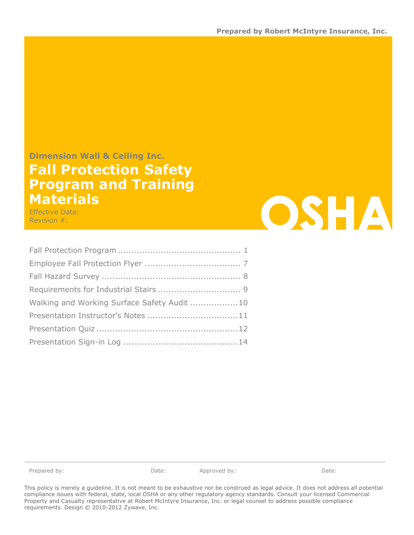#### Dimension Wall & Ceiling Inc.

# Fall Protection Safety Program and Training Materials

Effective Date: Revision #:

i<br>T

| Walking and Working Surface Safety Audit 10 |
|---------------------------------------------|
|                                             |
|                                             |
|                                             |

Prepared by: Date: Date: Approved by: Date: Date: Date:

**OSHA** 

This policy is merely a guideline. It is not meant to be exhaustive nor be construed as legal advice. It does not address all potential compliance issues with federal, state, local OSHA or any other regulatory agency standards. Consult your licensed Commercial Property and Casualty representative at Robert McIntyre Insurance, Inc. or legal counsel to address possible compliance requirements. Design © 2010-2012 Zywave, Inc.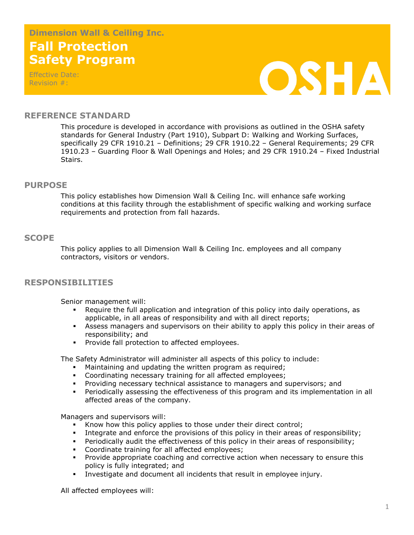# Fall Protection Safety Program Dimension Wall & Ceiling Inc.

Effective Date: Revision #:



### REFERENCE STANDARD

This procedure is developed in accordance with provisions as outlined in the OSHA safety standards for General Industry (Part 1910), Subpart D: Walking and Working Surfaces, specifically 29 CFR 1910.21 – Definitions; 29 CFR 1910.22 – General Requirements; 29 CFR 1910.23 – Guarding Floor & Wall Openings and Holes; and 29 CFR 1910.24 – Fixed Industrial Stairs.

#### PURPOSE

This policy establishes how Dimension Wall & Ceiling Inc. will enhance safe working conditions at this facility through the establishment of specific walking and working surface requirements and protection from fall hazards.

#### **SCOPE**

This policy applies to all Dimension Wall & Ceiling Inc. employees and all company contractors, visitors or vendors.

### RESPONSIBILITIES

Senior management will:

- Require the full application and integration of this policy into daily operations, as applicable, in all areas of responsibility and with all direct reports;
- Assess managers and supervisors on their ability to apply this policy in their areas of responsibility; and
- **Provide fall protection to affected employees.**

The Safety Administrator will administer all aspects of this policy to include:

- Maintaining and updating the written program as required;
- Coordinating necessary training for all affected employees;
- Providing necessary technical assistance to managers and supervisors; and
- Periodically assessing the effectiveness of this program and its implementation in all affected areas of the company.

Managers and supervisors will:

- Know how this policy applies to those under their direct control;
- Integrate and enforce the provisions of this policy in their areas of responsibility;
- Periodically audit the effectiveness of this policy in their areas of responsibility;
- **Coordinate training for all affected employees;**
- **Provide appropriate coaching and corrective action when necessary to ensure this** policy is fully integrated; and
- Investigate and document all incidents that result in employee injury.

All affected employees will: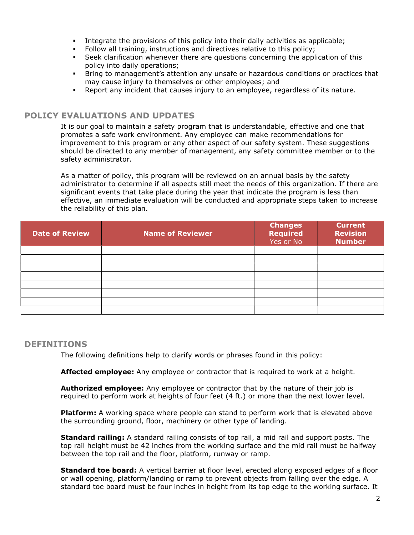- Integrate the provisions of this policy into their daily activities as applicable;
- Follow all training, instructions and directives relative to this policy;
- Seek clarification whenever there are questions concerning the application of this policy into daily operations;
- Bring to management's attention any unsafe or hazardous conditions or practices that may cause injury to themselves or other employees; and
- Report any incident that causes injury to an employee, regardless of its nature.

## POLICY EVALUATIONS AND UPDATES

It is our goal to maintain a safety program that is understandable, effective and one that promotes a safe work environment. Any employee can make recommendations for improvement to this program or any other aspect of our safety system. These suggestions should be directed to any member of management, any safety committee member or to the safety administrator.

 As a matter of policy, this program will be reviewed on an annual basis by the safety administrator to determine if all aspects still meet the needs of this organization. If there are significant events that take place during the year that indicate the program is less than effective, an immediate evaluation will be conducted and appropriate steps taken to increase the reliability of this plan.

| <b>Date of Review</b> | <b>Name of Reviewer</b> | <b>Changes</b><br><b>Required</b><br>Yes or No | <b>Current</b><br><b>Revision</b><br><b>Number</b> |
|-----------------------|-------------------------|------------------------------------------------|----------------------------------------------------|
|                       |                         |                                                |                                                    |
|                       |                         |                                                |                                                    |
|                       |                         |                                                |                                                    |
|                       |                         |                                                |                                                    |
|                       |                         |                                                |                                                    |
|                       |                         |                                                |                                                    |
|                       |                         |                                                |                                                    |
|                       |                         |                                                |                                                    |

### DEFINITIONS

The following definitions help to clarify words or phrases found in this policy:

**Affected employee:** Any employee or contractor that is required to work at a height.

**Authorized employee:** Any employee or contractor that by the nature of their job is required to perform work at heights of four feet (4 ft.) or more than the next lower level.

**Platform:** A working space where people can stand to perform work that is elevated above the surrounding ground, floor, machinery or other type of landing.

**Standard railing:** A standard railing consists of top rail, a mid rail and support posts. The top rail height must be 42 inches from the working surface and the mid rail must be halfway between the top rail and the floor, platform, runway or ramp.

**Standard toe board:** A vertical barrier at floor level, erected along exposed edges of a floor or wall opening, platform/landing or ramp to prevent objects from falling over the edge. A standard toe board must be four inches in height from its top edge to the working surface. It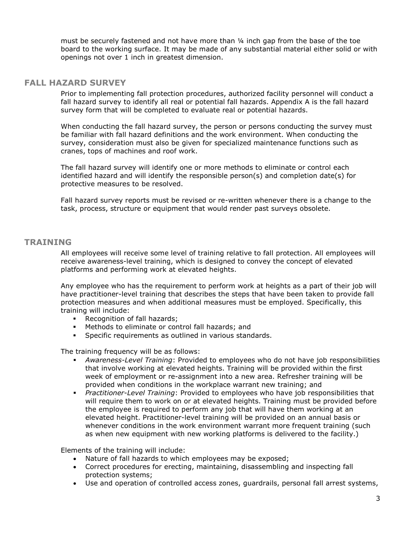must be securely fastened and not have more than ¼ inch gap from the base of the toe board to the working surface. It may be made of any substantial material either solid or with openings not over 1 inch in greatest dimension.

### FALL HAZARD SURVEY

Prior to implementing fall protection procedures, authorized facility personnel will conduct a fall hazard survey to identify all real or potential fall hazards. Appendix A is the fall hazard survey form that will be completed to evaluate real or potential hazards.

When conducting the fall hazard survey, the person or persons conducting the survey must be familiar with fall hazard definitions and the work environment. When conducting the survey, consideration must also be given for specialized maintenance functions such as cranes, tops of machines and roof work.

The fall hazard survey will identify one or more methods to eliminate or control each identified hazard and will identify the responsible person(s) and completion date(s) for protective measures to be resolved.

Fall hazard survey reports must be revised or re-written whenever there is a change to the task, process, structure or equipment that would render past surveys obsolete.

# TRAINING

All employees will receive some level of training relative to fall protection. All employees will receive awareness-level training, which is designed to convey the concept of elevated platforms and performing work at elevated heights.

Any employee who has the requirement to perform work at heights as a part of their job will have practitioner-level training that describes the steps that have been taken to provide fall protection measures and when additional measures must be employed. Specifically, this training will include:

- Recognition of fall hazards;
- Methods to eliminate or control fall hazards; and
- Specific requirements as outlined in various standards.

The training frequency will be as follows:

- Awareness-Level Training: Provided to employees who do not have job responsibilities that involve working at elevated heights. Training will be provided within the first week of employment or re-assignment into a new area. Refresher training will be provided when conditions in the workplace warrant new training; and
- **Practitioner-Level Training: Provided to employees who have job responsibilities that** will require them to work on or at elevated heights. Training must be provided before the employee is required to perform any job that will have them working at an elevated height. Practitioner-level training will be provided on an annual basis or whenever conditions in the work environment warrant more frequent training (such as when new equipment with new working platforms is delivered to the facility.)

Elements of the training will include:

- Nature of fall hazards to which employees may be exposed;
- Correct procedures for erecting, maintaining, disassembling and inspecting fall protection systems;
- Use and operation of controlled access zones, guardrails, personal fall arrest systems,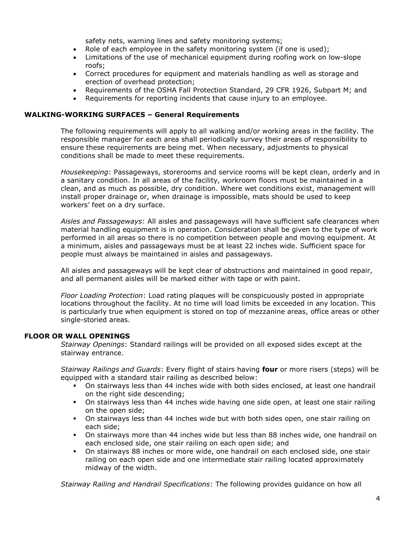safety nets, warning lines and safety monitoring systems;

- Role of each employee in the safety monitoring system (if one is used);
- Limitations of the use of mechanical equipment during roofing work on low-slope roofs;
- Correct procedures for equipment and materials handling as well as storage and erection of overhead protection;
- Requirements of the OSHA Fall Protection Standard, 29 CFR 1926, Subpart M; and
- Requirements for reporting incidents that cause injury to an employee.

#### WALKING-WORKING SURFACES – General Requirements

The following requirements will apply to all walking and/or working areas in the facility. The responsible manager for each area shall periodically survey their areas of responsibility to ensure these requirements are being met. When necessary, adjustments to physical conditions shall be made to meet these requirements.

Housekeeping: Passageways, storerooms and service rooms will be kept clean, orderly and in a sanitary condition. In all areas of the facility, workroom floors must be maintained in a clean, and as much as possible, dry condition. Where wet conditions exist, management will install proper drainage or, when drainage is impossible, mats should be used to keep workers' feet on a dry surface.

Aisles and Passageways: All aisles and passageways will have sufficient safe clearances when material handling equipment is in operation. Consideration shall be given to the type of work performed in all areas so there is no competition between people and moving equipment. At a minimum, aisles and passageways must be at least 22 inches wide. Sufficient space for people must always be maintained in aisles and passageways.

 All aisles and passageways will be kept clear of obstructions and maintained in good repair, and all permanent aisles will be marked either with tape or with paint.

Floor Loading Protection: Load rating plaques will be conspicuously posted in appropriate locations throughout the facility. At no time will load limits be exceeded in any location. This is particularly true when equipment is stored on top of mezzanine areas, office areas or other single-storied areas.

#### FLOOR OR WALL OPENINGS

Stairway Openings: Standard railings will be provided on all exposed sides except at the stairway entrance.

Stairway Railings and Guards: Every flight of stairs having four or more risers (steps) will be equipped with a standard stair railing as described below:

- On stairways less than 44 inches wide with both sides enclosed, at least one handrail on the right side descending;
- On stairways less than 44 inches wide having one side open, at least one stair railing on the open side;
- On stairways less than 44 inches wide but with both sides open, one stair railing on each side;
- On stairways more than 44 inches wide but less than 88 inches wide, one handrail on each enclosed side, one stair railing on each open side; and
- On stairways 88 inches or more wide, one handrail on each enclosed side, one stair railing on each open side and one intermediate stair railing located approximately midway of the width.

Stairway Railing and Handrail Specifications: The following provides guidance on how all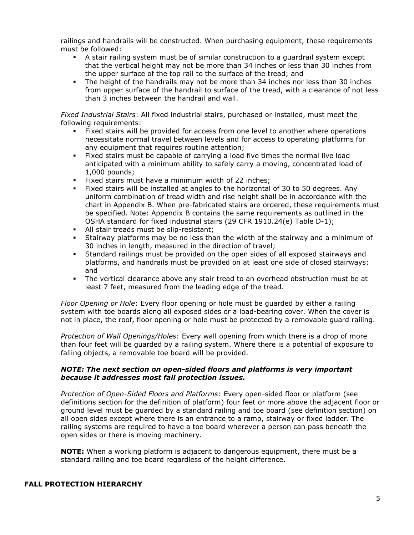railings and handrails will be constructed. When purchasing equipment, these requirements must be followed:

- A stair railing system must be of similar construction to a guardrail system except that the vertical height may not be more than 34 inches or less than 30 inches from the upper surface of the top rail to the surface of the tread; and
- The height of the handrails may not be more than 34 inches nor less than 30 inches from upper surface of the handrail to surface of the tread, with a clearance of not less than 3 inches between the handrail and wall.

Fixed Industrial Stairs: All fixed industrial stairs, purchased or installed, must meet the following requirements:

- Fixed stairs will be provided for access from one level to another where operations necessitate normal travel between levels and for access to operating platforms for any equipment that requires routine attention;
- Fixed stairs must be capable of carrying a load five times the normal live load anticipated with a minimum ability to safely carry a moving, concentrated load of 1,000 pounds;
- Fixed stairs must have a minimum width of 22 inches;
- Fixed stairs will be installed at angles to the horizontal of 30 to 50 degrees. Any uniform combination of tread width and rise height shall be in accordance with the chart in Appendix B. When pre-fabricated stairs are ordered, these requirements must be specified. Note: Appendix B contains the same requirements as outlined in the OSHA standard for fixed industrial stairs (29 CFR 1910.24(e) Table D-1);
- All stair treads must be slip-resistant;
- Stairway platforms may be no less than the width of the stairway and a minimum of 30 inches in length, measured in the direction of travel;
- Standard railings must be provided on the open sides of all exposed stairways and platforms, and handrails must be provided on at least one side of closed stairways; and
- The vertical clearance above any stair tread to an overhead obstruction must be at least 7 feet, measured from the leading edge of the tread.

Floor Opening or Hole: Every floor opening or hole must be quarded by either a railing system with toe boards along all exposed sides or a load-bearing cover. When the cover is not in place, the roof, floor opening or hole must be protected by a removable guard railing.

Protection of Wall Openings/Holes: Every wall opening from which there is a drop of more than four feet will be guarded by a railing system. Where there is a potential of exposure to falling objects, a removable toe board will be provided.

#### NOTE: The next section on open-sided floors and platforms is very important because it addresses most fall protection issues.

Protection of Open-Sided Floors and Platforms: Every open-sided floor or platform (see definitions section for the definition of platform) four feet or more above the adjacent floor or ground level must be guarded by a standard railing and toe board (see definition section) on all open sides except where there is an entrance to a ramp, stairway or fixed ladder. The railing systems are required to have a toe board wherever a person can pass beneath the open sides or there is moving machinery.

**NOTE:** When a working platform is adjacent to dangerous equipment, there must be a standard railing and toe board regardless of the height difference.

#### FALL PROTECTION HIERARCHY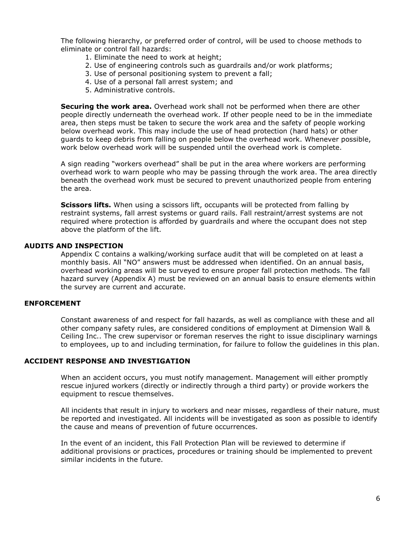The following hierarchy, or preferred order of control, will be used to choose methods to eliminate or control fall hazards:

- 1. Eliminate the need to work at height;
- 2. Use of engineering controls such as guardrails and/or work platforms;
- 3. Use of personal positioning system to prevent a fall;
- 4. Use of a personal fall arrest system; and
- 5. Administrative controls.

**Securing the work area.** Overhead work shall not be performed when there are other people directly underneath the overhead work. If other people need to be in the immediate area, then steps must be taken to secure the work area and the safety of people working below overhead work. This may include the use of head protection (hard hats) or other guards to keep debris from falling on people below the overhead work. Whenever possible, work below overhead work will be suspended until the overhead work is complete.

A sign reading "workers overhead" shall be put in the area where workers are performing overhead work to warn people who may be passing through the work area. The area directly beneath the overhead work must be secured to prevent unauthorized people from entering the area.

**Scissors lifts.** When using a scissors lift, occupants will be protected from falling by restraint systems, fall arrest systems or guard rails. Fall restraint/arrest systems are not required where protection is afforded by guardrails and where the occupant does not step above the platform of the lift.

#### AUDITS AND INSPECTION

Appendix C contains a walking/working surface audit that will be completed on at least a monthly basis. All "NO" answers must be addressed when identified. On an annual basis, overhead working areas will be surveyed to ensure proper fall protection methods. The fall hazard survey (Appendix A) must be reviewed on an annual basis to ensure elements within the survey are current and accurate.

#### ENFORCEMENT

Constant awareness of and respect for fall hazards, as well as compliance with these and all other company safety rules, are considered conditions of employment at Dimension Wall & Ceiling Inc.. The crew supervisor or foreman reserves the right to issue disciplinary warnings to employees, up to and including termination, for failure to follow the guidelines in this plan.

#### ACCIDENT RESPONSE AND INVESTIGATION

When an accident occurs, you must notify management. Management will either promptly rescue injured workers (directly or indirectly through a third party) or provide workers the equipment to rescue themselves.

All incidents that result in injury to workers and near misses, regardless of their nature, must be reported and investigated. All incidents will be investigated as soon as possible to identify the cause and means of prevention of future occurrences.

In the event of an incident, this Fall Protection Plan will be reviewed to determine if additional provisions or practices, procedures or training should be implemented to prevent similar incidents in the future.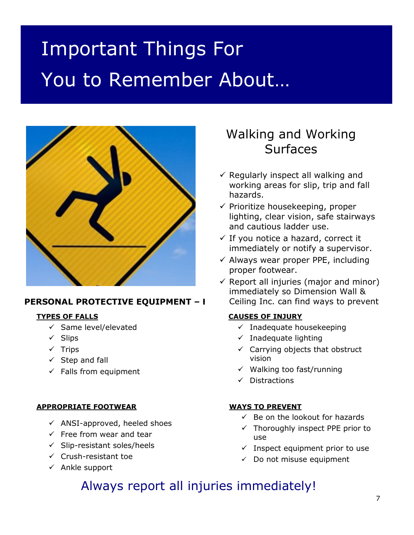# Important Things For You to Remember About…



# PERSONAL PROTECTIVE EQUIPMENT - I

# TYPES OF FALLS

- $\checkmark$  Same level/elevated
- $\checkmark$  Slips
- $\checkmark$  Trips
- $\checkmark$  Step and fall
- $\checkmark$  Falls from equipment

# APPROPRIATE FOOTWEAR

- $\checkmark$  ANSI-approved, heeled shoes
- $\checkmark$  Free from wear and tear
- $\checkmark$  Slip-resistant soles/heels
- $\checkmark$  Crush-resistant toe
- $\checkmark$  Ankle support

# Walking and Working Surfaces

- $\checkmark$  Regularly inspect all walking and working areas for slip, trip and fall hazards.
- $\checkmark$  Prioritize housekeeping, proper lighting, clear vision, safe stairways and cautious ladder use.
- $\checkmark$  If you notice a hazard, correct it immediately or notify a supervisor.
- $\checkmark$  Always wear proper PPE, including proper footwear.
- $\checkmark$  Report all injuries (major and minor) immediately so Dimension Wall & Ceiling Inc. can find ways to prevent

# CAUSES OF INJURY

- $\checkmark$  Inadequate housekeeping
- $\checkmark$  Inadequate lighting
- $\checkmark$  Carrying objects that obstruct vision
- $\checkmark$  Walking too fast/running
- $\checkmark$  Distractions

# WAYS TO PREVENT

- $\checkmark$  Be on the lookout for hazards
- $\checkmark$  Thoroughly inspect PPE prior to use
- $\checkmark$  Inspect equipment prior to use
- $\checkmark$  Do not misuse equipment

# Always report all injuries immediately!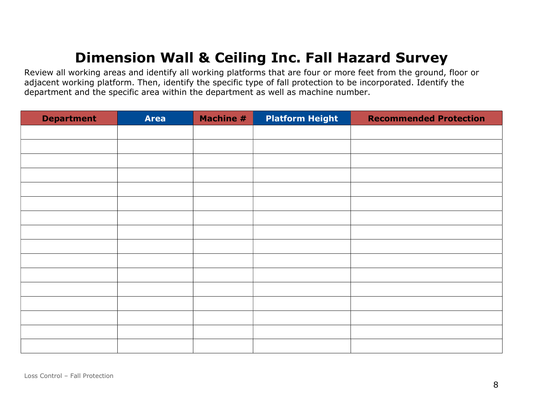# Dimension Wall & Ceiling Inc. Fall Hazard Survey

Review all working areas and identify all working platforms that are four or more feet from the ground, floor or adjacent working platform. Then, identify the specific type of fall protection to be incorporated. Identify the department and the specific area within the department as well as machine number.

| <b>Department</b> | <b>Area</b> | <b>Machine #</b> | <b>Platform Height</b> | <b>Recommended Protection</b> |
|-------------------|-------------|------------------|------------------------|-------------------------------|
|                   |             |                  |                        |                               |
|                   |             |                  |                        |                               |
|                   |             |                  |                        |                               |
|                   |             |                  |                        |                               |
|                   |             |                  |                        |                               |
|                   |             |                  |                        |                               |
|                   |             |                  |                        |                               |
|                   |             |                  |                        |                               |
|                   |             |                  |                        |                               |
|                   |             |                  |                        |                               |
|                   |             |                  |                        |                               |
|                   |             |                  |                        |                               |
|                   |             |                  |                        |                               |
|                   |             |                  |                        |                               |
|                   |             |                  |                        |                               |
|                   |             |                  |                        |                               |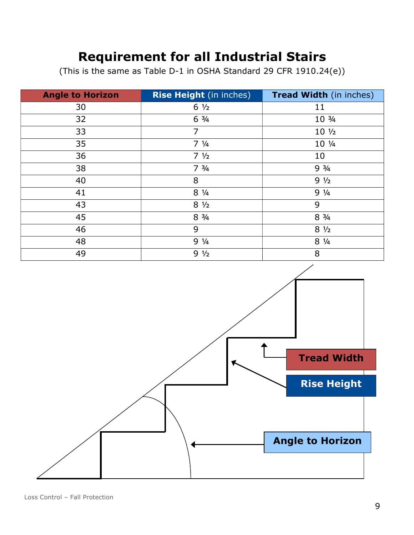# Requirement for all Industrial Stairs

(This is the same as Table D-1 in OSHA Standard 29 CFR 1910.24(e))

| <b>Angle to Horizon</b> | <b>Rise Height</b> (in inches) | <b>Tread Width (in inches)</b> |
|-------------------------|--------------------------------|--------------------------------|
| 30                      | $6\frac{1}{2}$                 | 11                             |
| 32                      | $6 \frac{3}{4}$                | 10 3/4                         |
| 33                      | $\overline{7}$                 | $10\frac{1}{2}$                |
| 35                      | $7 \frac{1}{4}$                | 10 1/4                         |
| 36                      | $7 \frac{1}{2}$                | 10                             |
| 38                      | $7 \frac{3}{4}$                | $9 \frac{3}{4}$                |
| 40                      | 8                              | $9\frac{1}{2}$                 |
| 41                      | $8 \frac{1}{4}$                | $9\frac{1}{4}$                 |
| 43                      | $8\frac{1}{2}$                 | 9                              |
| 45                      | $8 \frac{3}{4}$                | $8 \frac{3}{4}$                |
| 46                      | 9                              | $8\frac{1}{2}$                 |
| 48                      | $9 \frac{1}{4}$                | $8 \frac{1}{4}$                |
| 49                      | $9\frac{1}{2}$                 | 8                              |

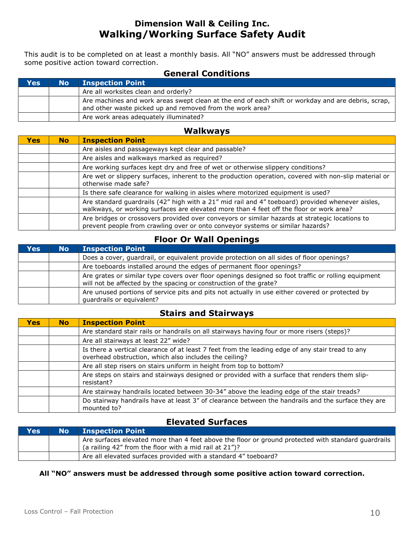# Dimension Wall & Ceiling Inc. Walking/Working Surface Safety Audit

This audit is to be completed on at least a monthly basis. All "NO" answers must be addressed through some positive action toward correction.

# General Conditions

| <b>Yes</b> | <b>No</b> | <b>Inspection Point</b>                                                                                                                                         |
|------------|-----------|-----------------------------------------------------------------------------------------------------------------------------------------------------------------|
|            |           | Are all worksites clean and orderly?                                                                                                                            |
|            |           | Are machines and work areas swept clean at the end of each shift or workday and are debris, scrap,<br>and other waste picked up and removed from the work area? |
|            |           | Are work areas adequately illuminated?                                                                                                                          |

# Walkways

| <b>Yes</b> | <b>No</b> | <b>Inspection Point</b>                                                                                                                                                                     |
|------------|-----------|---------------------------------------------------------------------------------------------------------------------------------------------------------------------------------------------|
|            |           | Are aisles and passageways kept clear and passable?                                                                                                                                         |
|            |           | Are aisles and walkways marked as required?                                                                                                                                                 |
|            |           | Are working surfaces kept dry and free of wet or otherwise slippery conditions?                                                                                                             |
|            |           | Are wet or slippery surfaces, inherent to the production operation, covered with non-slip material or<br>otherwise made safe?                                                               |
|            |           | Is there safe clearance for walking in aisles where motorized equipment is used?                                                                                                            |
|            |           | Are standard guardrails (42" high with a 21" mid rail and 4" toeboard) provided whenever aisles,<br>walkways, or working surfaces are elevated more than 4 feet off the floor or work area? |
|            |           | Are bridges or crossovers provided over conveyors or similar hazards at strategic locations to<br>prevent people from crawling over or onto conveyor systems or similar hazards?            |

# Floor Or Wall Openings

| Yes | <b>No</b> | <b>Inspection Point</b>                                                                                                                                                  |
|-----|-----------|--------------------------------------------------------------------------------------------------------------------------------------------------------------------------|
|     |           | Does a cover, guardrail, or equivalent provide protection on all sides of floor openings?                                                                                |
|     |           | Are toeboards installed around the edges of permanent floor openings?                                                                                                    |
|     |           | Are grates or similar type covers over floor openings designed so foot traffic or rolling equipment<br>will not be affected by the spacing or construction of the grate? |
|     |           | Are unused portions of service pits and pits not actually in use either covered or protected by<br>quardrails or equivalent?                                             |

# Stairs and Stairways

| <b>Yes</b> | <b>No</b> | <b>Inspection Point</b>                                                                                                                                    |
|------------|-----------|------------------------------------------------------------------------------------------------------------------------------------------------------------|
|            |           | Are standard stair rails or handrails on all stairways having four or more risers (steps)?                                                                 |
|            |           | Are all stairways at least 22" wide?                                                                                                                       |
|            |           | Is there a vertical clearance of at least 7 feet from the leading edge of any stair tread to any<br>overhead obstruction, which also includes the ceiling? |
|            |           | Are all step risers on stairs uniform in height from top to bottom?                                                                                        |
|            |           | Are steps on stairs and stairways designed or provided with a surface that renders them slip-<br>resistant?                                                |
|            |           | Are stairway handrails located between 30-34" above the leading edge of the stair treads?                                                                  |
|            |           | Do stairway handrails have at least 3" of clearance between the handrails and the surface they are<br>mounted to?                                          |

# Elevated Surfaces

| Yes | <b>No</b> Inspection Point                                                                                                                                                  |
|-----|-----------------------------------------------------------------------------------------------------------------------------------------------------------------------------|
|     | Are surfaces elevated more than 4 feet above the floor or ground protected with standard quardrails<br>$\frac{1}{1}$ (a railing 42" from the floor with a mid rail at 21")? |
|     | Are all elevated surfaces provided with a standard 4" toeboard?                                                                                                             |

#### All "NO" answers must be addressed through some positive action toward correction.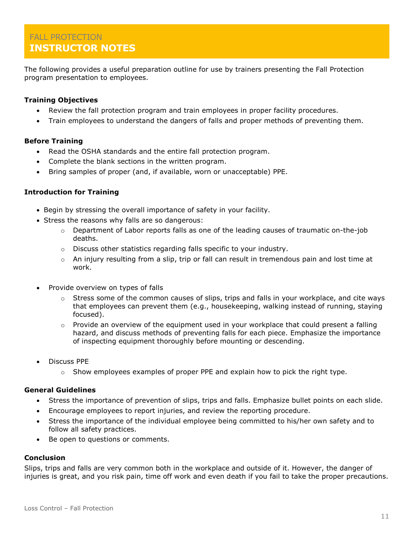# FALL PROTECTION INSTRUCTOR NOTES

The following provides a useful preparation outline for use by trainers presenting the Fall Protection program presentation to employees.

### Training Objectives

- Review the fall protection program and train employees in proper facility procedures.
- Train employees to understand the dangers of falls and proper methods of preventing them.

### Before Training

- Read the OSHA standards and the entire fall protection program.
- Complete the blank sections in the written program.
- Bring samples of proper (and, if available, worn or unacceptable) PPE.

### Introduction for Training

- Begin by stressing the overall importance of safety in your facility.
- Stress the reasons why falls are so dangerous:
	- $\circ$  Department of Labor reports falls as one of the leading causes of traumatic on-the-job deaths.
	- o Discuss other statistics regarding falls specific to your industry.
	- $\circ$  An injury resulting from a slip, trip or fall can result in tremendous pain and lost time at work.
- Provide overview on types of falls
	- $\circ$  Stress some of the common causes of slips, trips and falls in your workplace, and cite ways that employees can prevent them (e.g., housekeeping, walking instead of running, staying focused).
	- $\circ$  Provide an overview of the equipment used in your workplace that could present a falling hazard, and discuss methods of preventing falls for each piece. Emphasize the importance of inspecting equipment thoroughly before mounting or descending.
- Discuss PPE
	- $\circ$  Show employees examples of proper PPE and explain how to pick the right type.

#### General Guidelines

- Stress the importance of prevention of slips, trips and falls. Emphasize bullet points on each slide.
- Encourage employees to report injuries, and review the reporting procedure.
- Stress the importance of the individual employee being committed to his/her own safety and to follow all safety practices.
- Be open to questions or comments.

#### Conclusion

Slips, trips and falls are very common both in the workplace and outside of it. However, the danger of injuries is great, and you risk pain, time off work and even death if you fail to take the proper precautions.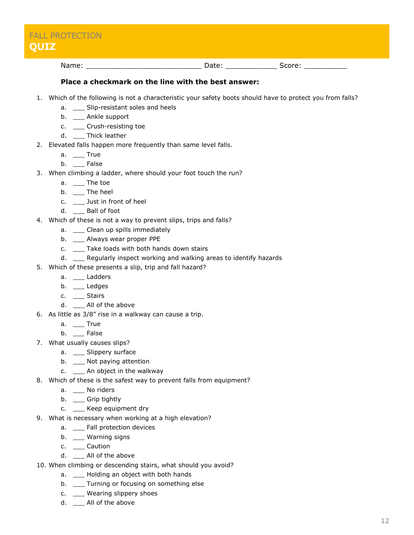| <b>FALL PROTECTION</b><br><b>QUIZ</b> |       |        |
|---------------------------------------|-------|--------|
| Name:                                 | Date: | Score: |

#### Place a checkmark on the line with the best answer:

- 1. Which of the following is not a characteristic your safety boots should have to protect you from falls?
	- a. \_\_ Slip-resistant soles and heels
	- b. \_\_\_ Ankle support
	- c. \_\_\_ Crush-resisting toe
	- d. Thick leather
- 2. Elevated falls happen more frequently than same level falls.
	- $a. \t---$  True
	- b. \_\_ False
- 3. When climbing a ladder, where should your foot touch the run?
	- a. The toe
	- b. \_\_ The heel
	- c. \_\_\_ Just in front of heel
	- d. \_\_\_ Ball of foot
- 4. Which of these is not a way to prevent slips, trips and falls?
	- a. Clean up spills immediately
	- b. \_\_\_ Always wear proper PPE
	- c. \_\_\_ Take loads with both hands down stairs
	- d. \_\_\_ Regularly inspect working and walking areas to identify hazards
- 5. Which of these presents a slip, trip and fall hazard?
	- a. \_\_\_ Ladders
	- b. \_\_ Ledges
	- c. \_\_\_ Stairs
	- d. \_\_\_ All of the above
- 6. As little as 3/8" rise in a walkway can cause a trip.
	- a. \_\_\_ True
	- b. False
- 7. What usually causes slips?
	- a. \_\_ Slippery surface
	- b. \_\_ Not paying attention
	- c. \_\_ An object in the walkway
- 8. Which of these is the safest way to prevent falls from equipment?
	- a. \_\_ No riders
	- b. \_\_ Grip tightly
	- c. \_\_ Keep equipment dry
- 9. What is necessary when working at a high elevation?
	- a. \_\_ Fall protection devices
	- b. \_\_ Warning signs
	- c. \_\_\_ Caution
	- d. All of the above
- 10. When climbing or descending stairs, what should you avoid?
	- a. \_\_\_ Holding an object with both hands
	- b. \_\_ Turning or focusing on something else
	- c. \_\_\_ Wearing slippery shoes
	- d. All of the above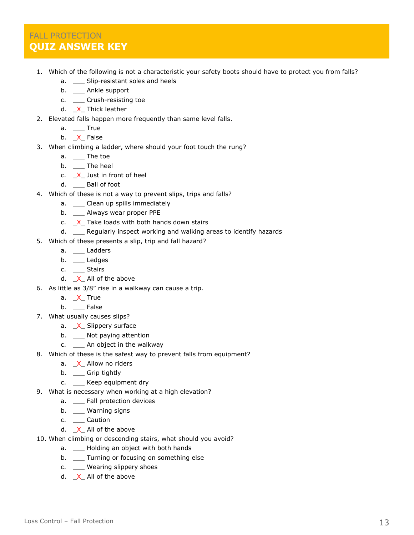# FALL PROTECTION QUIZ ANSWER KEY

- 1. Which of the following is not a characteristic your safety boots should have to protect you from falls?
	- a. \_\_\_ Slip-resistant soles and heels
	- b. \_\_ Ankle support
	- c. \_\_ Crush-resisting toe
	- d. X Thick leather
- 2. Elevated falls happen more frequently than same level falls.
	- a. True
	- b. X False
- 3. When climbing a ladder, where should your foot touch the rung?
	- $a. \t —$  The toe
	- b. \_\_ The heel
	- c.  $X$  Just in front of heel
	- d. \_\_\_ Ball of foot
- 4. Which of these is not a way to prevent slips, trips and falls?
	- a. \_\_ Clean up spills immediately
	- b. \_\_\_ Always wear proper PPE
	- c.  $X$  Take loads with both hands down stairs
	- d. Begularly inspect working and walking areas to identify hazards
- 5. Which of these presents a slip, trip and fall hazard?
	- a. \_\_ Ladders
	- b. \_\_ Ledges
	- c. \_\_\_ Stairs
	- d.  $X_{-}$  All of the above
- 6. As little as 3/8" rise in a walkway can cause a trip.
	- a. X True
	- b. \_\_ False
- 7. What usually causes slips?
	- a. X Slippery surface
	- b. \_\_ Not paying attention
	- c. \_\_ An object in the walkway
- 8. Which of these is the safest way to prevent falls from equipment?
	- a. X Allow no riders
	- b. \_\_ Grip tightly
	- c. \_\_ Keep equipment dry
- 9. What is necessary when working at a high elevation?
	- a. \_\_ Fall protection devices
	- b. \_\_ Warning signs
	- c. \_\_\_ Caution
	- d. X All of the above
- 10. When climbing or descending stairs, what should you avoid?
	- a. \_\_ Holding an object with both hands
	- b. \_\_ Turning or focusing on something else
	- c. \_\_ Wearing slippery shoes
	- d.  $X$  All of the above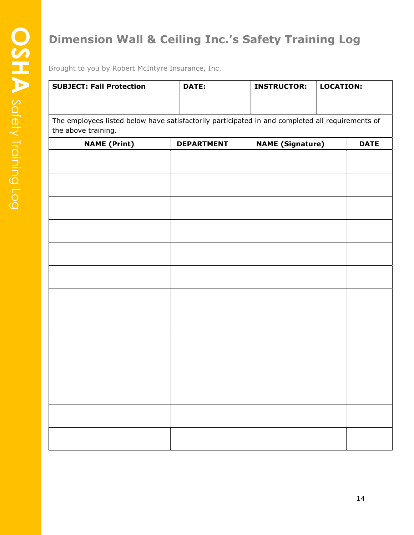# Dimension Wall & Ceiling Inc.'s Safety Training Log

| <b>SUBJECT: Fall Protection</b>                                                                                         | <b>DATE:</b>      | <b>INSTRUCTOR:</b>      | <b>LOCATION:</b> |
|-------------------------------------------------------------------------------------------------------------------------|-------------------|-------------------------|------------------|
| The employees listed below have satisfactorily participated in and completed all requirements of<br>the above training. |                   |                         |                  |
| <b>NAME (Print)</b>                                                                                                     | <b>DEPARTMENT</b> | <b>NAME (Signature)</b> |                  |
|                                                                                                                         |                   |                         |                  |
|                                                                                                                         |                   |                         |                  |
|                                                                                                                         |                   |                         |                  |
|                                                                                                                         |                   |                         |                  |
|                                                                                                                         |                   |                         |                  |
|                                                                                                                         |                   |                         |                  |
|                                                                                                                         |                   |                         |                  |
|                                                                                                                         |                   |                         |                  |
|                                                                                                                         |                   |                         |                  |
|                                                                                                                         |                   |                         |                  |
|                                                                                                                         |                   |                         |                  |
|                                                                                                                         |                   |                         |                  |
|                                                                                                                         |                   |                         |                  |
|                                                                                                                         |                   |                         |                  |
|                                                                                                                         |                   |                         |                  |
|                                                                                                                         |                   |                         |                  |
|                                                                                                                         |                   |                         |                  |